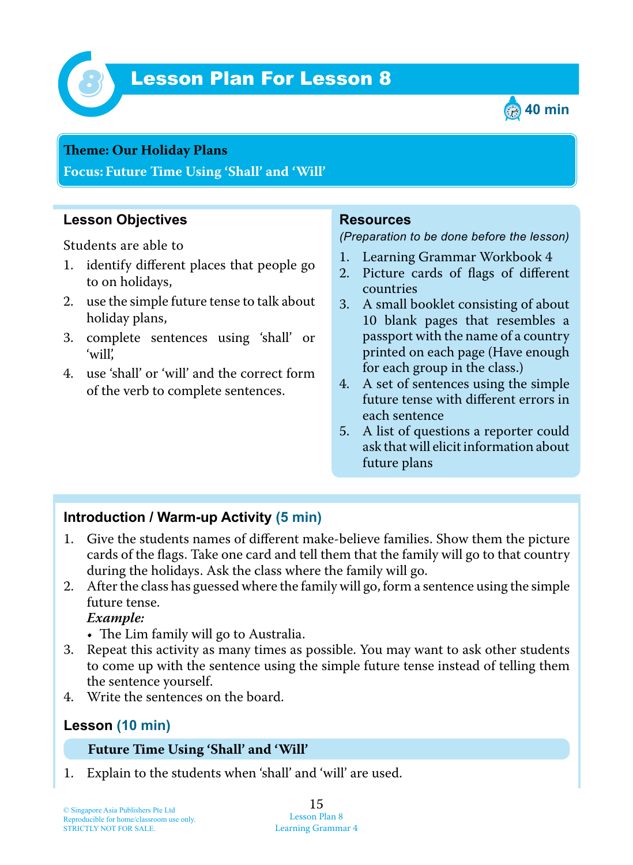

# *8* Lesson Plan For Lesson 8



#### **Teme : Our Holiday Plans**

**Focus: Future Time Using 'Shall' and 'Will'**

## **Lesson Objectives**

Students are able to

- 1. identify different places that people go to on holidays,
- 2. use the simple future tense to talk about holiday plans,
- 3. complete sentences using 'shall' or 'will',
- 4. use 'shall' or 'will' and the correct form of the verb to complete sentences.

#### **Resources**

#### *(Preparation to be done before the lesson)*

- 1. Learning Grammar Workbook 4
- 2. Picture cards of flags of different countries
- 3. A small booklet consisting of about 10 blank pages that resembles a passport with the name of a country printed on each page (Have enough for each group in the class.)
- 4. A set of sentences using the simple future tense with different errors in each sentence
- 5. A list of questions a reporter could ask that will elicit information about future plans

## **Introduction / Warm-up Activity (5 min)**

- 1. Give the students names of different make-believe families. Show them the picture cards of the flags. Take one card and tell them that the family will go to that country during the holidays. Ask the class where the family will go.
- 2. After the class has guessed where the family will go, form a sentence using the simple future tense.

 *Example:*

- $\bullet$  The Lim family will go to Australia.
- 3. Repeat this activity as many times as possible. You may want to ask other students to come up with the sentence using the simple future tense instead of telling them the sentence yourself.
- 4. Write the sentences on the board.

### **Lesson (10 min)**

#### **Future Time Using 'Shall' and 'Will'**

1. Explain to the students when 'shall' and 'will' are used.